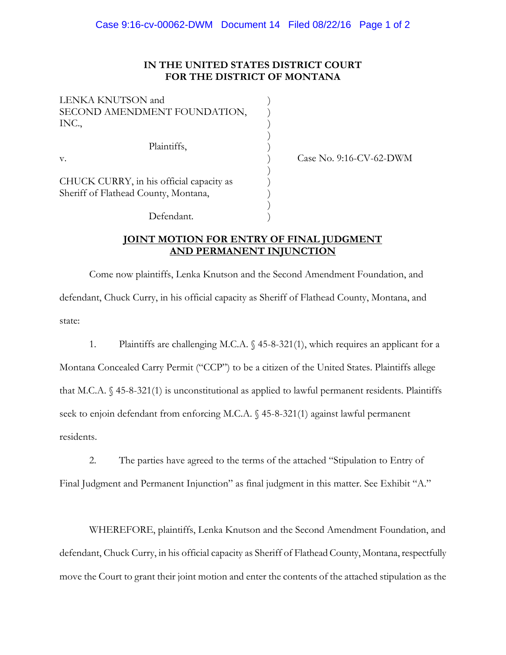## **IN THE UNITED STATES DISTRICT COURT FOR THE DISTRICT OF MONTANA**

| <b>LENKA KNUTSON</b> and                 |  |
|------------------------------------------|--|
| SECOND AMENDMENT FOUNDATION,             |  |
| INC.,                                    |  |
|                                          |  |
| Plaintiffs,                              |  |
| v.                                       |  |
|                                          |  |
| CHUCK CURRY, in his official capacity as |  |
| Sheriff of Flathead County, Montana,     |  |
|                                          |  |
| Defendant.                               |  |

Case No. 9:16-CV-62-DWM

## **JOINT MOTION FOR ENTRY OF FINAL JUDGMENT AND PERMANENT INJUNCTION**

Come now plaintiffs, Lenka Knutson and the Second Amendment Foundation, and defendant, Chuck Curry, in his official capacity as Sheriff of Flathead County, Montana, and state:

1. Plaintiffs are challenging M.C.A. § 45-8-321(1), which requires an applicant for a Montana Concealed Carry Permit ("CCP") to be a citizen of the United States. Plaintiffs allege that M.C.A. § 45-8-321(1) is unconstitutional as applied to lawful permanent residents. Plaintiffs seek to enjoin defendant from enforcing M.C.A. § 45-8-321(1) against lawful permanent residents.

2. The parties have agreed to the terms of the attached "Stipulation to Entry of Final Judgment and Permanent Injunction" as final judgment in this matter. See Exhibit "A."

WHEREFORE, plaintiffs, Lenka Knutson and the Second Amendment Foundation, and defendant, Chuck Curry, in his official capacity as Sheriff of Flathead County, Montana, respectfully move the Court to grant their joint motion and enter the contents of the attached stipulation as the